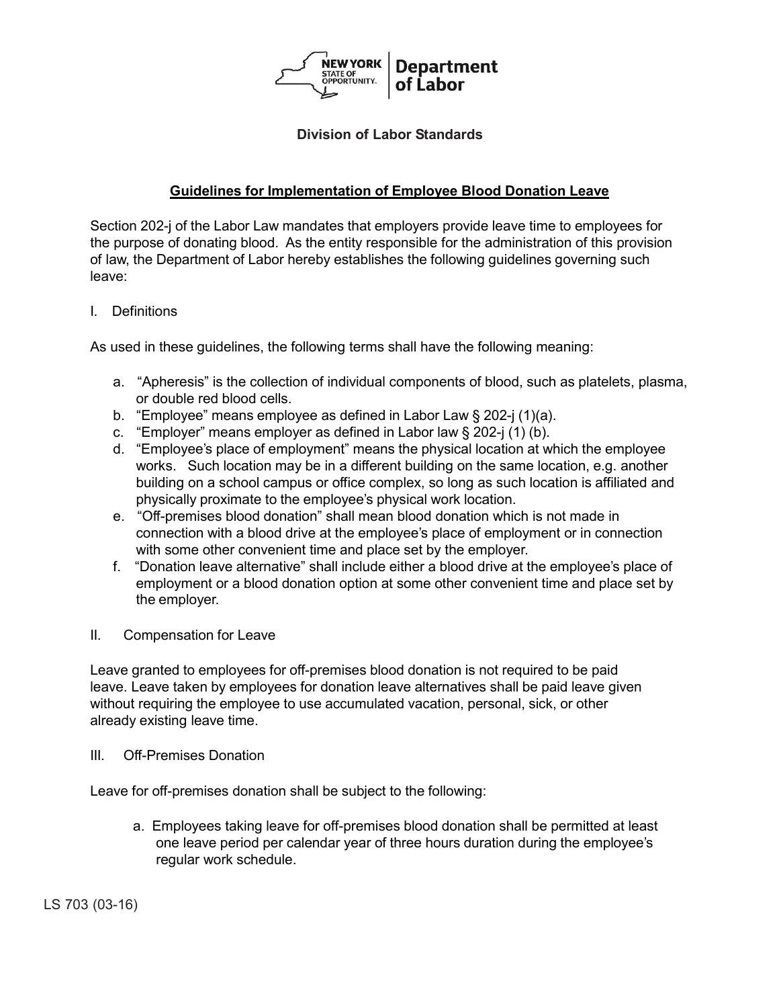

## **Division of Labor Standards**

# **Guidelines for Implementation of Employee Blood Donation Leave**

Section 202-j of the Labor Law mandates that employers provide leave time to employees for the purpose of donating blood. As the entity responsible for the administration of this provision of law, the Department of Labor hereby establishes the following guidelines governing such leave:

## I. Definitions

As used in these guidelines, the following terms shall have the following meaning:

- a. "Apheresis" is the collection of individual components of blood, such as platelets, plasma, or double red blood cells.
- b. "Employee" means employee as defined in Labor Law § 202-j (1)(a).
- c. "Employer" means employer as defined in Labor law § 202-j (1) (b).
- d. "Employee's place of employment" means the physical location at which the employee works. Such location may be in a different building on the same location, e.g. another building on a school campus or office complex, so long as such location is affiliated and physically proximate to the employee's physical work location.
- e. "Off-premises blood donation" shall mean blood donation which is not made in connection with a blood drive at the employee's place of employment or in connection with some other convenient time and place set by the employer.
- f. "Donation leave alternative" shall include either a blood drive at the employee's place of employment or a blood donation option at some other convenient time and place set by the employer.
- II. Compensation for Leave

Leave granted to employees for off-premises blood donation is not required to be paid leave. Leave taken by employees for donation leave alternatives shall be paid leave given without requiring the employee to use accumulated vacation, personal, sick, or other already existing leave time.

III. Off-Premises Donation

Leave for off-premises donation shall be subject to the following:

a. Employees taking leave for off-premises blood donation shall be permitted at least one leave period per calendar year of three hours duration during the employee's regular work schedule.

LS 703 (03-16)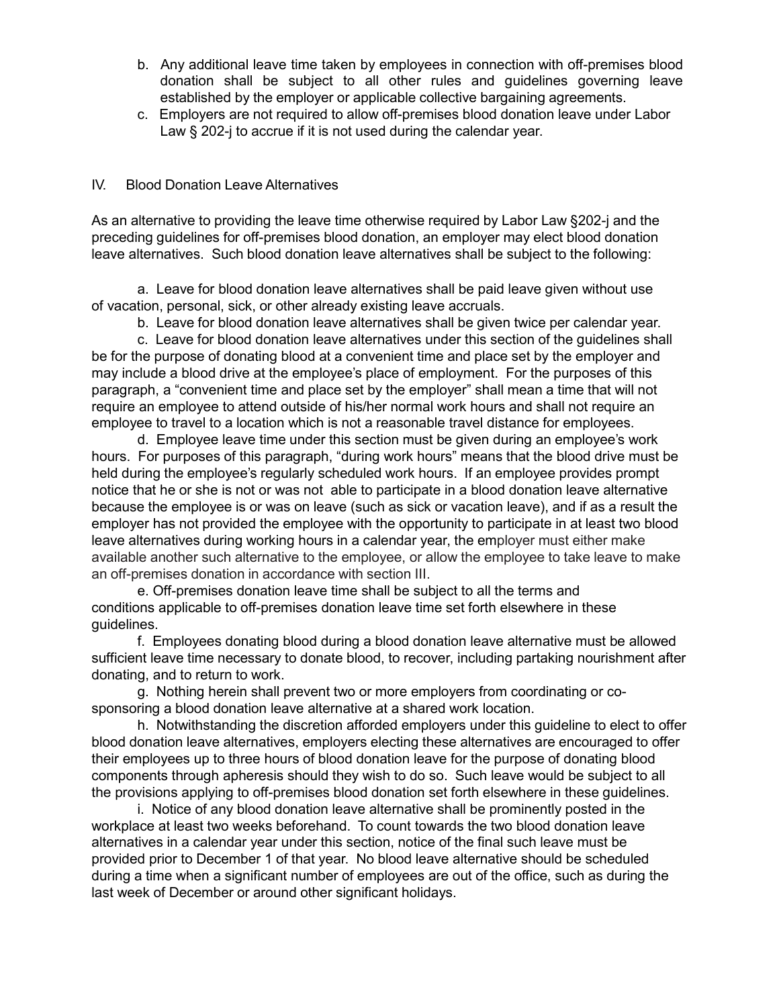- b. Any additional leave time taken by employees in connection with off-premises blood donation shall be subject to all other rules and guidelines governing leave established by the employer or applicable collective bargaining agreements.
- c. Employers are not required to allow off-premises blood donation leave under Labor Law § 202-j to accrue if it is not used during the calendar year.

## IV. Blood Donation Leave Alternatives

As an alternative to providing the leave time otherwise required by Labor Law §202-j and the preceding guidelines for off-premises blood donation, an employer may elect blood donation leave alternatives. Such blood donation leave alternatives shall be subject to the following:

a. Leave for blood donation leave alternatives shall be paid leave given without use of vacation, personal, sick, or other already existing leave accruals.

b. Leave for blood donation leave alternatives shall be given twice per calendar year.

c. Leave for blood donation leave alternatives under this section of the guidelines shall be for the purpose of donating blood at a convenient time and place set by the employer and may include a blood drive at the employee's place of employment. For the purposes of this paragraph, a "convenient time and place set by the employer" shall mean a time that will not require an employee to attend outside of his/her normal work hours and shall not require an employee to travel to a location which is not a reasonable travel distance for employees.

d. Employee leave time under this section must be given during an employee's work hours. For purposes of this paragraph, "during work hours" means that the blood drive must be held during the employee's regularly scheduled work hours. If an employee provides prompt notice that he or she is not or was not able to participate in a blood donation leave alternative because the employee is or was on leave (such as sick or vacation leave), and if as a result the employer has not provided the employee with the opportunity to participate in at least two blood leave alternatives during working hours in a calendar year, the employer must either make available another such alternative to the employee, or allow the employee to take leave to make an off-premises donation in accordance with section III.

e. Off-premises donation leave time shall be subject to all the terms and conditions applicable to off-premises donation leave time set forth elsewhere in these guidelines.

f. Employees donating blood during a blood donation leave alternative must be allowed sufficient leave time necessary to donate blood, to recover, including partaking nourishment after donating, and to return to work.

g. Nothing herein shall prevent two or more employers from coordinating or cosponsoring a blood donation leave alternative at a shared work location.

h. Notwithstanding the discretion afforded employers under this guideline to elect to offer blood donation leave alternatives, employers electing these alternatives are encouraged to offer their employees up to three hours of blood donation leave for the purpose of donating blood components through apheresis should they wish to do so. Such leave would be subject to all the provisions applying to off-premises blood donation set forth elsewhere in these guidelines.

i. Notice of any blood donation leave alternative shall be prominently posted in the workplace at least two weeks beforehand. To count towards the two blood donation leave alternatives in a calendar year under this section, notice of the final such leave must be provided prior to December 1 of that year. No blood leave alternative should be scheduled during a time when a significant number of employees are out of the office, such as during the last week of December or around other significant holidays.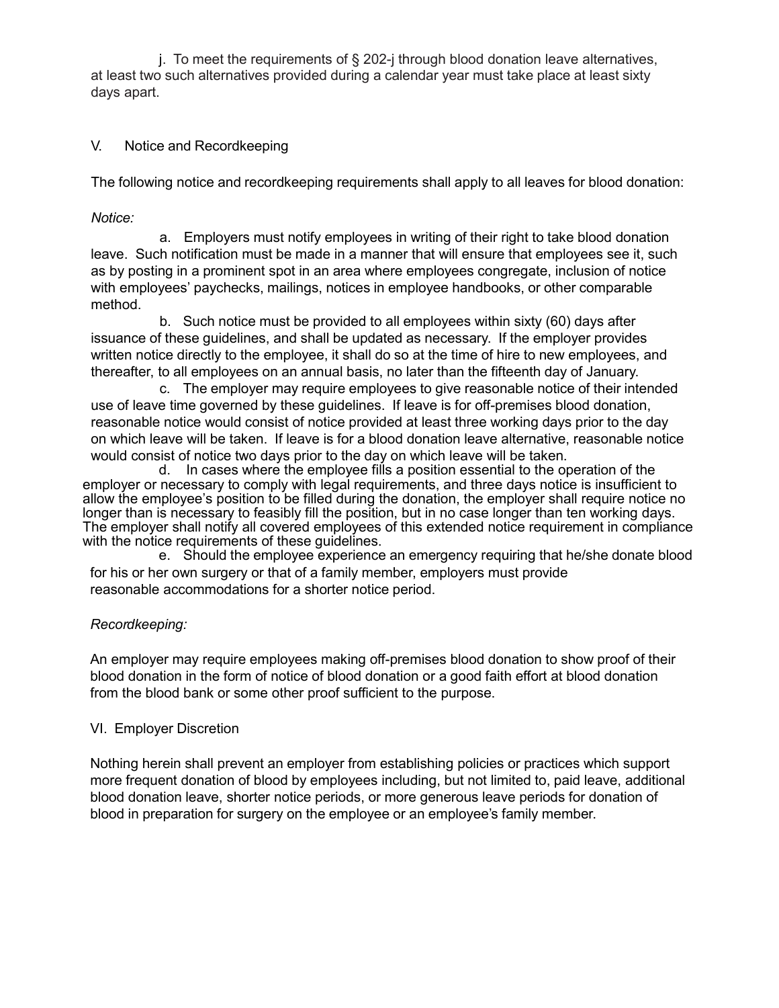j. To meet the requirements of § 202-j through blood donation leave alternatives, at least two such alternatives provided during a calendar year must take place at least sixty days apart.

## V. Notice and Recordkeeping

The following notice and recordkeeping requirements shall apply to all leaves for blood donation:

## *Notice:*

a. Employers must notify employees in writing of their right to take blood donation leave. Such notification must be made in a manner that will ensure that employees see it, such as by posting in a prominent spot in an area where employees congregate, inclusion of notice with employees' paychecks, mailings, notices in employee handbooks, or other comparable method.

b. Such notice must be provided to all employees within sixty (60) days after issuance of these guidelines, and shall be updated as necessary. If the employer provides written notice directly to the employee, it shall do so at the time of hire to new employees, and thereafter, to all employees on an annual basis, no later than the fifteenth day of January.

c. The employer may require employees to give reasonable notice of their intended use of leave time governed by these guidelines. If leave is for off-premises blood donation, reasonable notice would consist of notice provided at least three working days prior to the day on which leave will be taken. If leave is for a blood donation leave alternative, reasonable notice would consist of notice two days prior to the day on which leave will be taken.

d. In cases where the employee fills a position essential to the operation of the employer or necessary to comply with legal requirements, and three days notice is insufficient to allow the employee's position to be filled during the donation, the employer shall require notice no longer than is necessary to feasibly fill the position, but in no case longer than ten working days. The employer shall notify all covered employees of this extended notice requirement in compliance with the notice requirements of these guidelines.

e. Should the employee experience an emergency requiring that he/she donate blood for his or her own surgery or that of a family member, employers must provide reasonable accommodations for a shorter notice period.

## *Recordkeeping:*

An employer may require employees making off-premises blood donation to show proof of their blood donation in the form of notice of blood donation or a good faith effort at blood donation from the blood bank or some other proof sufficient to the purpose.

## VI. Employer Discretion

Nothing herein shall prevent an employer from establishing policies or practices which support more frequent donation of blood by employees including, but not limited to, paid leave, additional blood donation leave, shorter notice periods, or more generous leave periods for donation of blood in preparation for surgery on the employee or an employee's family member.